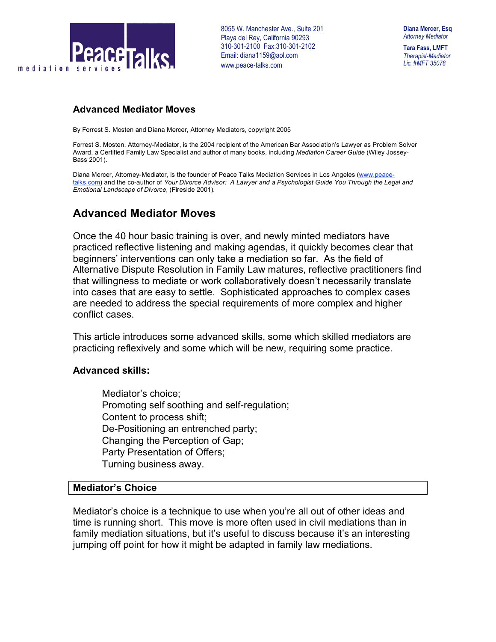

**Tara Fass, LMFT** *Therapist-Mediator Lic. #MFT 35078*

### **Advanced Mediator Moves**

By Forrest S. Mosten and Diana Mercer, Attorney Mediators, copyright 2005

Forrest S. Mosten, Attorney-Mediator, is the 2004 recipient of the American Bar Association's Lawyer as Problem Solver Award, a Certified Family Law Specialist and author of many books, including *Mediation Career Guide* (Wiley Jossey-Bass 2001).

Diana Mercer, Attorney-Mediator, is the founder of Peace Talks Mediation Services in Los Angeles (www.peacetalks.com) and the co-author of *Your Divorce Advisor: A Lawyer and a Psychologist Guide You Through the Legal and Emotional Landscape of Divorce*, (Fireside 2001)*.*

# **Advanced Mediator Moves**

Once the 40 hour basic training is over, and newly minted mediators have practiced reflective listening and making agendas, it quickly becomes clear that beginners' interventions can only take a mediation so far. As the field of Alternative Dispute Resolution in Family Law matures, reflective practitioners find that willingness to mediate or work collaboratively doesn't necessarily translate into cases that are easy to settle. Sophisticated approaches to complex cases are needed to address the special requirements of more complex and higher conflict cases.

This article introduces some advanced skills, some which skilled mediators are practicing reflexively and some which will be new, requiring some practice.

### **Advanced skills:**

 Mediator's choice; Promoting self soothing and self-regulation; Content to process shift; De-Positioning an entrenched party; Changing the Perception of Gap; Party Presentation of Offers; Turning business away.

### **Mediator's Choice**

Mediator's choice is a technique to use when you're all out of other ideas and time is running short. This move is more often used in civil mediations than in family mediation situations, but it's useful to discuss because it's an interesting jumping off point for how it might be adapted in family law mediations.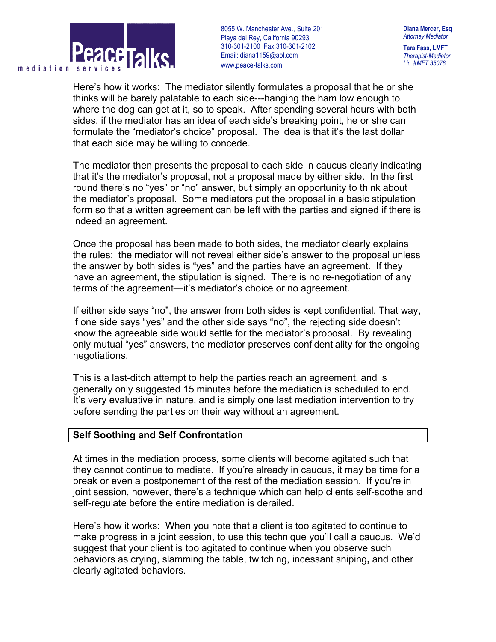

**Diana Mercer, Esq** *Attorney Mediator* **Tara Fass, LMFT**

*Therapist-Mediator Lic. #MFT 35078*

Here's how it works: The mediator silently formulates a proposal that he or she thinks will be barely palatable to each side---hanging the ham low enough to where the dog can get at it, so to speak. After spending several hours with both sides, if the mediator has an idea of each side's breaking point, he or she can formulate the "mediator's choice" proposal. The idea is that it's the last dollar that each side may be willing to concede.

The mediator then presents the proposal to each side in caucus clearly indicating that it's the mediator's proposal, not a proposal made by either side. In the first round there's no "yes" or "no" answer, but simply an opportunity to think about the mediator's proposal. Some mediators put the proposal in a basic stipulation form so that a written agreement can be left with the parties and signed if there is indeed an agreement.

Once the proposal has been made to both sides, the mediator clearly explains the rules: the mediator will not reveal either side's answer to the proposal unless the answer by both sides is "yes" and the parties have an agreement. If they have an agreement, the stipulation is signed. There is no re-negotiation of any terms of the agreement—it's mediator's choice or no agreement.

If either side says "no", the answer from both sides is kept confidential. That way, if one side says "yes" and the other side says "no", the rejecting side doesn't know the agreeable side would settle for the mediator's proposal. By revealing only mutual "yes" answers, the mediator preserves confidentiality for the ongoing negotiations.

This is a last-ditch attempt to help the parties reach an agreement, and is generally only suggested 15 minutes before the mediation is scheduled to end. It's very evaluative in nature, and is simply one last mediation intervention to try before sending the parties on their way without an agreement.

### **Self Soothing and Self Confrontation**

At times in the mediation process, some clients will become agitated such that they cannot continue to mediate. If you're already in caucus, it may be time for a break or even a postponement of the rest of the mediation session. If you're in joint session, however, there's a technique which can help clients self-soothe and self-regulate before the entire mediation is derailed.

Here's how it works: When you note that a client is too agitated to continue to make progress in a joint session, to use this technique you'll call a caucus. We'd suggest that your client is too agitated to continue when you observe such behaviors as crying, slamming the table, twitching, incessant sniping**,** and other clearly agitated behaviors.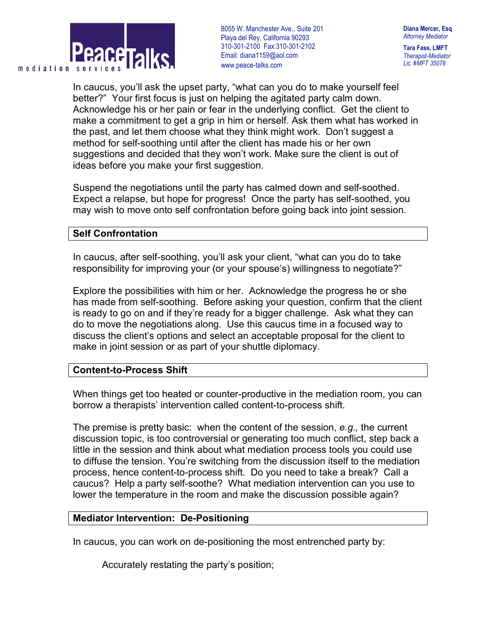

**Diana Mercer, Esq** *Attorney Mediator*

**Tara Fass, LMFT** *Therapist-Mediator Lic. #MFT 35078*

In caucus, you'll ask the upset party, "what can you do to make yourself feel better?" Your first focus is just on helping the agitated party calm down. Acknowledge his or her pain or fear in the underlying conflict. Get the client to make a commitment to get a grip in him or herself. Ask them what has worked in the past, and let them choose what they think might work. Don't suggest a method for self-soothing until after the client has made his or her own suggestions and decided that they won't work. Make sure the client is out of ideas before you make your first suggestion.

Suspend the negotiations until the party has calmed down and self-soothed. Expect a relapse, but hope for progress! Once the party has self-soothed, you may wish to move onto self confrontation before going back into joint session.

#### **Self Confrontation**

In caucus, after self-soothing, you'll ask your client, "what can you do to take responsibility for improving your (or your spouse's) willingness to negotiate?"

Explore the possibilities with him or her. Acknowledge the progress he or she has made from self-soothing. Before asking your question, confirm that the client is ready to go on and if they're ready for a bigger challenge. Ask what they can do to move the negotiations along. Use this caucus time in a focused way to discuss the client's options and select an acceptable proposal for the client to make in joint session or as part of your shuttle diplomacy.

### **Content-to-Process Shift**

When things get too heated or counter-productive in the mediation room, you can borrow a therapists' intervention called content-to-process shift.

The premise is pretty basic: when the content of the session, *e.g.,* the current discussion topic, is too controversial or generating too much conflict, step back a little in the session and think about what mediation process tools you could use to diffuse the tension. You're switching from the discussion itself to the mediation process, hence content-to-process shift. Do you need to take a break? Call a caucus? Help a party self-soothe? What mediation intervention can you use to lower the temperature in the room and make the discussion possible again?

### **Mediator Intervention: De-Positioning**

In caucus, you can work on de-positioning the most entrenched party by:

Accurately restating the party's position;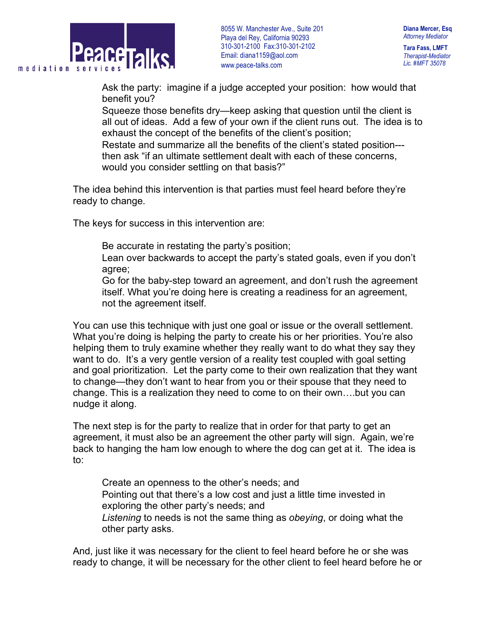

**Diana Mercer, Esq** *Attorney Mediator*

**Tara Fass, LMFT** *Therapist-Mediator Lic. #MFT 35078*

 Ask the party: imagine if a judge accepted your position: how would that benefit you?

 Squeeze those benefits dry—keep asking that question until the client is all out of ideas. Add a few of your own if the client runs out. The idea is to exhaust the concept of the benefits of the client's position; Restate and summarize all the benefits of the client's stated position-- then ask "if an ultimate settlement dealt with each of these concerns, would you consider settling on that basis?"

The idea behind this intervention is that parties must feel heard before they're ready to change.

The keys for success in this intervention are:

Be accurate in restating the party's position;

 Lean over backwards to accept the party's stated goals, even if you don't agree;

 Go for the baby-step toward an agreement, and don't rush the agreement itself. What you're doing here is creating a readiness for an agreement, not the agreement itself.

You can use this technique with just one goal or issue or the overall settlement. What you're doing is helping the party to create his or her priorities. You're also helping them to truly examine whether they really want to do what they say they want to do. It's a very gentle version of a reality test coupled with goal setting and goal prioritization. Let the party come to their own realization that they want to change—they don't want to hear from you or their spouse that they need to change. This is a realization they need to come to on their own….but you can nudge it along.

The next step is for the party to realize that in order for that party to get an agreement, it must also be an agreement the other party will sign. Again, we're back to hanging the ham low enough to where the dog can get at it. The idea is to:

 Create an openness to the other's needs; and Pointing out that there's a low cost and just a little time invested in exploring the other party's needs; and *Listening* to needs is not the same thing as *obeying*, or doing what the other party asks.

And, just like it was necessary for the client to feel heard before he or she was ready to change, it will be necessary for the other client to feel heard before he or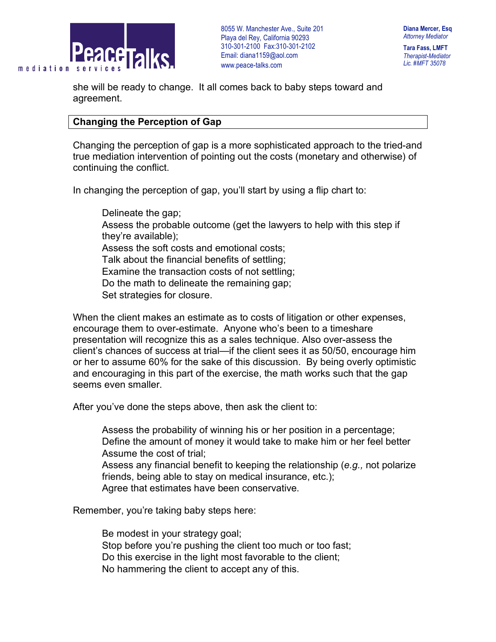

**Tara Fass, LMFT** *Therapist-Mediator Lic. #MFT 35078*

she will be ready to change. It all comes back to baby steps toward and agreement.

## **Changing the Perception of Gap**

Changing the perception of gap is a more sophisticated approach to the tried-and true mediation intervention of pointing out the costs (monetary and otherwise) of continuing the conflict.

In changing the perception of gap, you'll start by using a flip chart to:

 Delineate the gap; Assess the probable outcome (get the lawyers to help with this step if they're available); Assess the soft costs and emotional costs; Talk about the financial benefits of settling; Examine the transaction costs of not settling; Do the math to delineate the remaining gap; Set strategies for closure.

When the client makes an estimate as to costs of litigation or other expenses, encourage them to over-estimate. Anyone who's been to a timeshare presentation will recognize this as a sales technique. Also over-assess the client's chances of success at trial—if the client sees it as 50/50, encourage him or her to assume 60% for the sake of this discussion. By being overly optimistic and encouraging in this part of the exercise, the math works such that the gap seems even smaller.

After you've done the steps above, then ask the client to:

 Assess the probability of winning his or her position in a percentage; Define the amount of money it would take to make him or her feel better Assume the cost of trial;

 Assess any financial benefit to keeping the relationship (*e.g.,* not polarize friends, being able to stay on medical insurance, etc.); Agree that estimates have been conservative.

Remember, you're taking baby steps here:

 Be modest in your strategy goal; Stop before you're pushing the client too much or too fast; Do this exercise in the light most favorable to the client; No hammering the client to accept any of this.